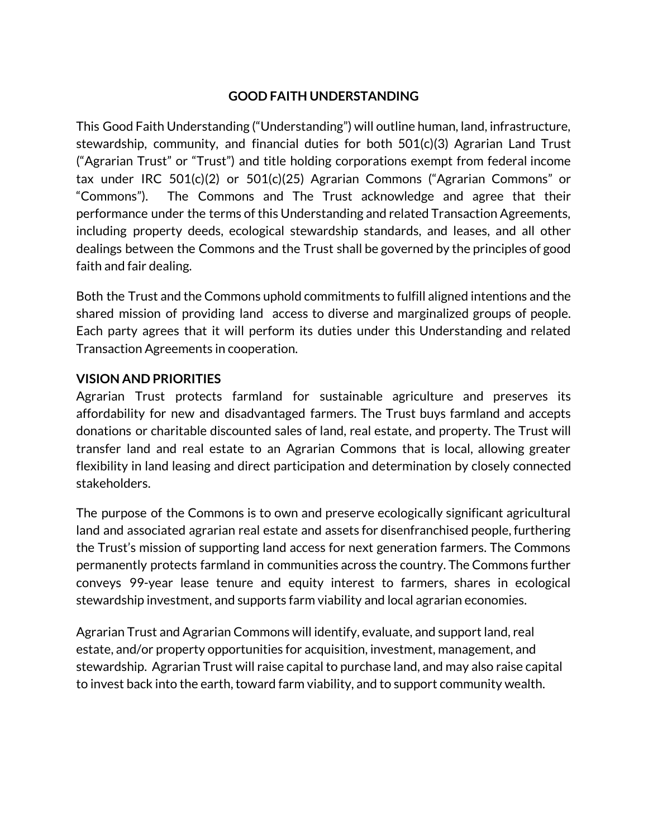### **GOOD FAITH UNDERSTANDING**

This Good Faith Understanding ("Understanding") will outline human, land, infrastructure, stewardship, community, and financial duties for both 501(c)(3) Agrarian Land Trust ("Agrarian Trust" or "Trust") and title holding corporations exempt from federal income tax under IRC 501(c)(2) or 501(c)(25) Agrarian Commons ("Agrarian Commons" or "Commons"). The Commons and The Trust acknowledge and agree that their performance under the terms of this Understanding and related Transaction Agreements, including property deeds, ecological stewardship standards, and leases, and all other dealings between the Commons and the Trust shall be governed by the principles of good faith and fair dealing.

Both the Trust and the Commons uphold commitments to fulfill aligned intentions and the shared mission of providing land access to diverse and marginalized groups of people. Each party agrees that it will perform its duties under this Understanding and related Transaction Agreements in cooperation.

#### **VISION AND PRIORITIES**

Agrarian Trust protects farmland for sustainable agriculture and preserves its affordability for new and disadvantaged farmers. The Trust buys farmland and accepts donations or charitable discounted sales of land, real estate, and property. The Trust will transfer land and real estate to an Agrarian Commons that is local, allowing greater flexibility in land leasing and direct participation and determination by closely connected stakeholders.

The purpose of the Commons is to own and preserve ecologically significant agricultural land and associated agrarian real estate and assets for disenfranchised people, furthering the Trust's mission of supporting land access for next generation farmers. The Commons permanently protects farmland in communities across the country. The Commons further conveys 99-year lease tenure and equity interest to farmers, shares in ecological stewardship investment, and supports farm viability and local agrarian economies.

Agrarian Trust and Agrarian Commons will identify, evaluate, and support land, real estate, and/or property opportunities for acquisition, investment, management, and stewardship. Agrarian Trust will raise capital to purchase land, and may also raise capital to invest back into the earth, toward farm viability, and to support community wealth.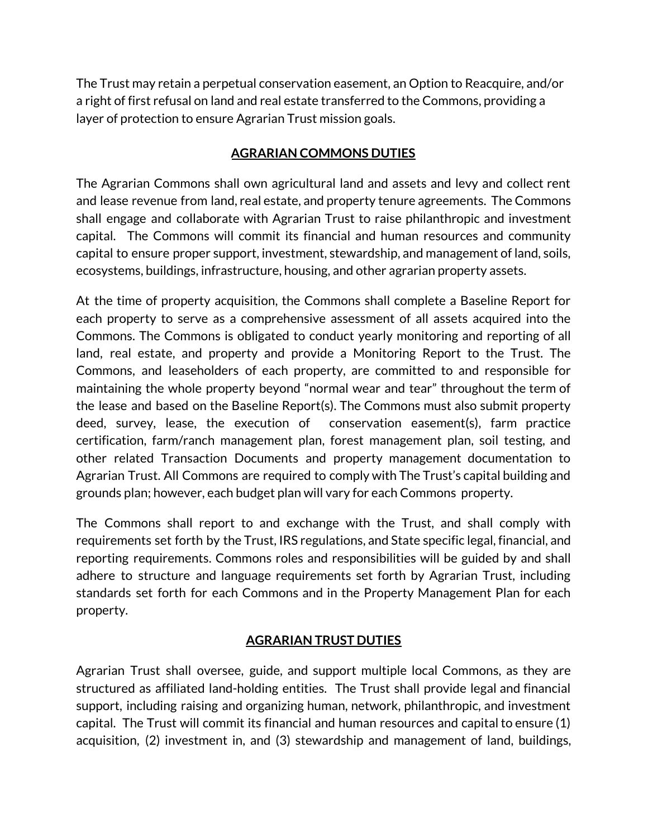The Trust may retain a perpetual conservation easement, an Option to Reacquire, and/or a right of first refusal on land and real estate transferred to the Commons, providing a layer of protection to ensure Agrarian Trust mission goals.

### **AGRARIAN COMMONS DUTIES**

The Agrarian Commons shall own agricultural land and assets and levy and collect rent and lease revenue from land, real estate, and property tenure agreements. The Commons shall engage and collaborate with Agrarian Trust to raise philanthropic and investment capital. The Commons will commit its financial and human resources and community capital to ensure proper support, investment, stewardship, and management of land, soils, ecosystems, buildings, infrastructure, housing, and other agrarian property assets.

At the time of property acquisition, the Commons shall complete a Baseline Report for each property to serve as a comprehensive assessment of all assets acquired into the Commons. The Commons is obligated to conduct yearly monitoring and reporting of all land, real estate, and property and provide a Monitoring Report to the Trust. The Commons, and leaseholders of each property, are committed to and responsible for maintaining the whole property beyond "normal wear and tear" throughout the term of the lease and based on the Baseline Report(s). The Commons must also submit property deed, survey, lease, the execution of conservation easement(s), farm practice certification, farm/ranch management plan, forest management plan, soil testing, and other related Transaction Documents and property management documentation to Agrarian Trust. All Commons are required to comply with The Trust's capital building and grounds plan; however, each budget plan will vary for each Commons property.

The Commons shall report to and exchange with the Trust, and shall comply with requirements set forth by the Trust, IRS regulations, and State specific legal, financial, and reporting requirements. Commons roles and responsibilities will be guided by and shall adhere to structure and language requirements set forth by Agrarian Trust, including standards set forth for each Commons and in the Property Management Plan for each property.

# **AGRARIAN TRUST DUTIES**

Agrarian Trust shall oversee, guide, and support multiple local Commons, as they are structured as affiliated land-holding entities. The Trust shall provide legal and financial support, including raising and organizing human, network, philanthropic, and investment capital. The Trust will commit its financial and human resources and capital to ensure (1) acquisition, (2) investment in, and (3) stewardship and management of land, buildings,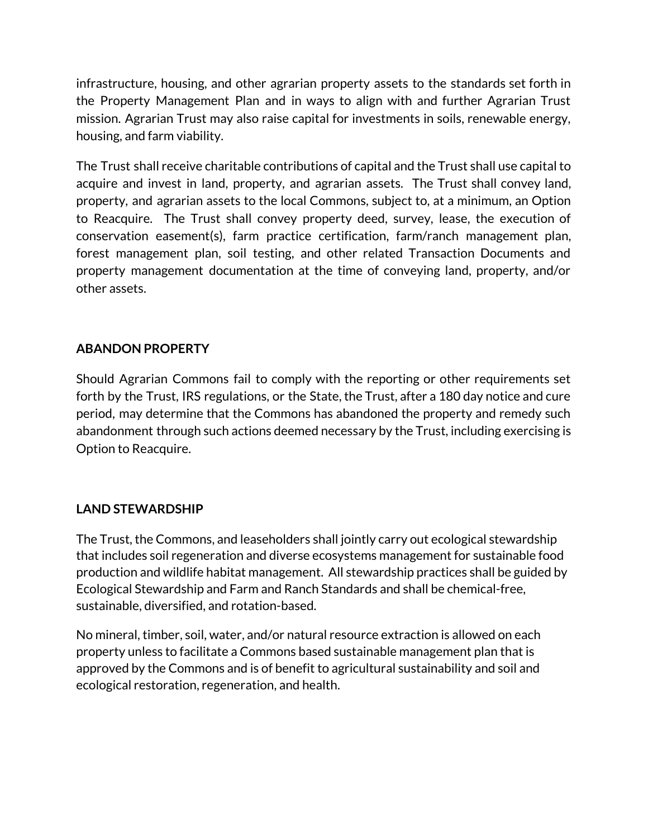infrastructure, housing, and other agrarian property assets to the standards set forth in the Property Management Plan and in ways to align with and further Agrarian Trust mission. Agrarian Trust may also raise capital for investments in soils, renewable energy, housing, and farm viability.

The Trust shall receive charitable contributions of capital and the Trust shall use capital to acquire and invest in land, property, and agrarian assets. The Trust shall convey land, property, and agrarian assets to the local Commons, subject to, at a minimum, an Option to Reacquire. The Trust shall convey property deed, survey, lease, the execution of conservation easement(s), farm practice certification, farm/ranch management plan, forest management plan, soil testing, and other related Transaction Documents and property management documentation at the time of conveying land, property, and/or other assets.

## **ABANDON PROPERTY**

Should Agrarian Commons fail to comply with the reporting or other requirements set forth by the Trust, IRS regulations, or the State, the Trust, after a 180 day notice and cure period, may determine that the Commons has abandoned the property and remedy such abandonment through such actions deemed necessary by the Trust, including exercising is Option to Reacquire.

#### **LAND STEWARDSHIP**

The Trust, the Commons, and leaseholders shall jointly carry out ecological stewardship that includes soil regeneration and diverse ecosystems management for sustainable food production and wildlife habitat management. All stewardship practices shall be guided by Ecological Stewardship and Farm and Ranch Standards and shall be chemical-free, sustainable, diversified, and rotation-based.

No mineral, timber, soil, water, and/or natural resource extraction is allowed on each property unless to facilitate a Commons based sustainable management plan that is approved by the Commons and is of benefit to agricultural sustainability and soil and ecological restoration, regeneration, and health.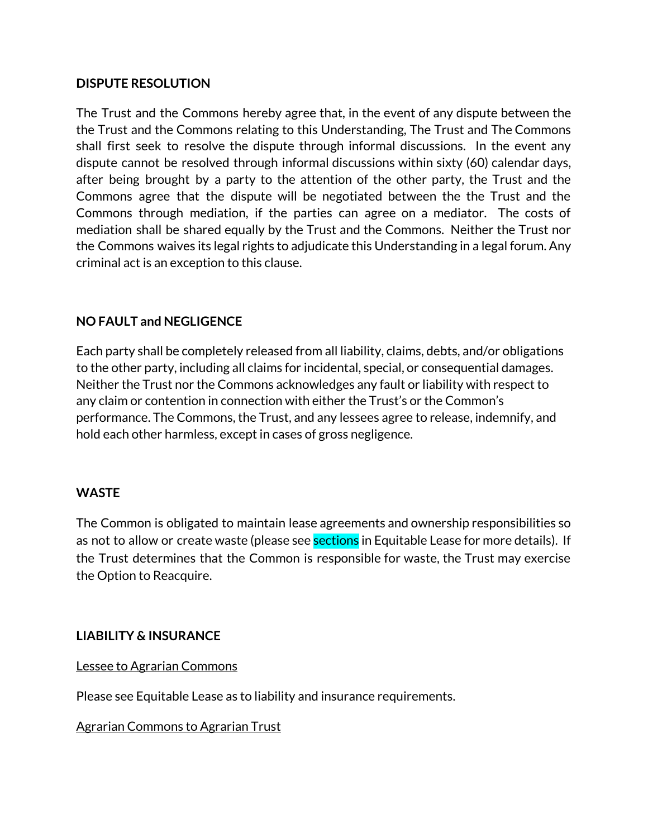#### **DISPUTE RESOLUTION**

The Trust and the Commons hereby agree that, in the event of any dispute between the the Trust and the Commons relating to this Understanding, The Trust and The Commons shall first seek to resolve the dispute through informal discussions. In the event any dispute cannot be resolved through informal discussions within sixty (60) calendar days, after being brought by a party to the attention of the other party, the Trust and the Commons agree that the dispute will be negotiated between the the Trust and the Commons through mediation, if the parties can agree on a mediator. The costs of mediation shall be shared equally by the Trust and the Commons. Neither the Trust nor the Commons waives its legal rights to adjudicate this Understanding in a legal forum. Any criminal act is an exception to this clause.

#### **NO FAULT and NEGLIGENCE**

Each party shall be completely released from all liability, claims, debts, and/or obligations to the other party, including all claims for incidental, special, or consequential damages. Neither the Trust nor the Commons acknowledges any fault or liability with respect to any claim or contention in connection with either the Trust's or the Common's performance. The Commons, the Trust, and any lessees agree to release, indemnify, and hold each other harmless, except in cases of gross negligence.

#### **WASTE**

The Common is obligated to maintain lease agreements and ownership responsibilities so as not to allow or create waste (please see **sections** in Equitable Lease for more details). If the Trust determines that the Common is responsible for waste, the Trust may exercise the Option to Reacquire.

#### **LIABILITY & INSURANCE**

Lessee to Agrarian Commons

Please see Equitable Lease as to liability and insurance requirements.

Agrarian Commons to Agrarian Trust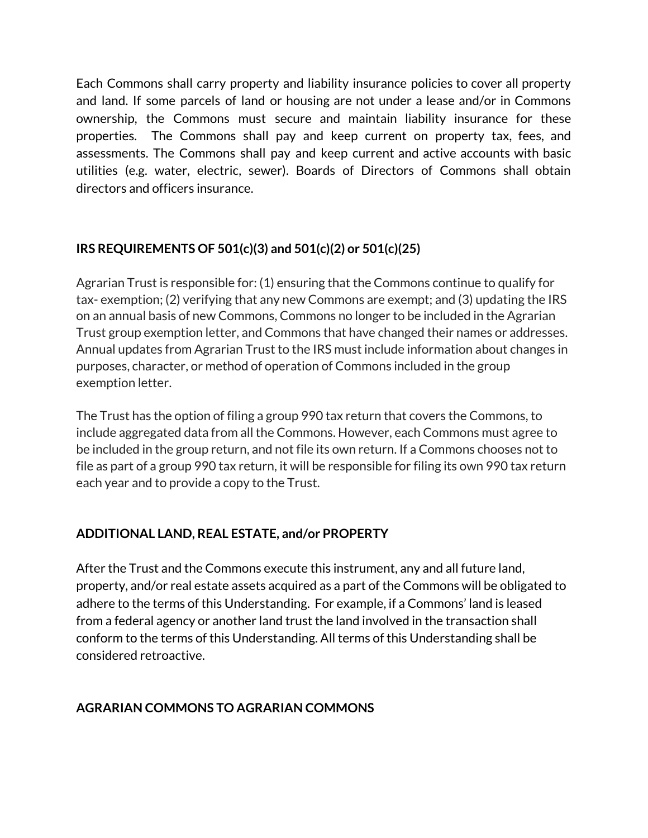Each Commons shall carry property and liability insurance policies to cover all property and land. If some parcels of land or housing are not under a lease and/or in Commons ownership, the Commons must secure and maintain liability insurance for these properties. The Commons shall pay and keep current on property tax, fees, and assessments. The Commons shall pay and keep current and active accounts with basic utilities (e.g. water, electric, sewer). Boards of Directors of Commons shall obtain directors and officers insurance.

# **IRS REQUIREMENTS OF 501(c)(3) and 501(c)(2) or 501(c)(25)**

Agrarian Trust is responsible for: (1) ensuring that the Commons continue to qualify for tax- exemption; (2) verifying that any new Commons are exempt; and (3) updating the IRS on an annual basis of new Commons, Commons no longer to be included in the Agrarian Trust group exemption letter, and Commons that have changed their names or addresses. Annual updates from Agrarian Trust to the IRS must include information about changes in purposes, character, or method of operation of Commons included in the group exemption letter.

The Trust has the option of filing a group 990 tax return that covers the Commons, to include aggregated data from all the Commons. However, each Commons must agree to be included in the group return, and not file its own return. If a Commons chooses not to file as part of a group 990 tax return, it will be responsible for filing its own 990 tax return each year and to provide a copy to the Trust.

# **ADDITIONAL LAND, REAL ESTATE, and/or PROPERTY**

After the Trust and the Commons execute this instrument, any and all future land, property, and/or real estate assets acquired as a part of the Commons will be obligated to adhere to the terms of this Understanding. For example, if a Commons' land is leased from a federal agency or another land trust the land involved in the transaction shall conform to the terms of this Understanding. All terms of this Understanding shall be considered retroactive.

# **AGRARIAN COMMONS TO AGRARIAN COMMONS**